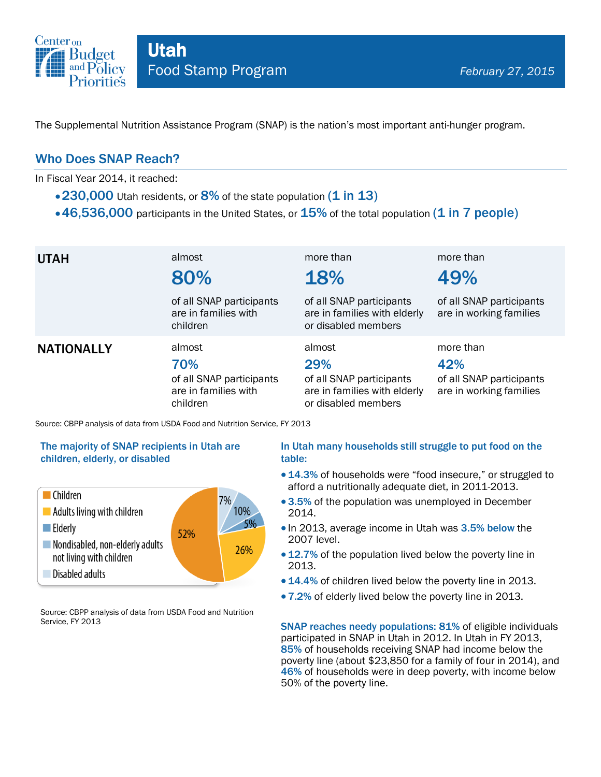

The Supplemental Nutrition Assistance Program (SNAP) is the nation's most important anti-hunger program.

## Who Does SNAP Reach?

In Fiscal Year 2014, it reached:

- $\cdot$  230,000 Utah residents, or 8% of the state population (1 in 13)
- $\cdot$  46,536,000 participants in the United States, or  $15\%$  of the total population (1 in 7 people)

| <b>UTAH</b>                                                                 | almost<br>80%                                                                 | more than<br>18%                                                                                 | more than<br>49%                                                        |  |
|-----------------------------------------------------------------------------|-------------------------------------------------------------------------------|--------------------------------------------------------------------------------------------------|-------------------------------------------------------------------------|--|
|                                                                             | of all SNAP participants<br>are in families with<br>children                  | of all SNAP participants<br>are in families with elderly<br>or disabled members                  | of all SNAP participants<br>are in working families                     |  |
| <b>NATIONALLY</b>                                                           | almost<br>70%<br>of all SNAP participants<br>are in families with<br>children | almost<br>29%<br>of all SNAP participants<br>are in families with elderly<br>or disabled members | more than<br>42%<br>of all SNAP participants<br>are in working families |  |
| Source: CBPP analysis of data from USDA Food and Nutrition Service, FY 2013 |                                                                               |                                                                                                  |                                                                         |  |

#### The majority of SNAP recipients in Utah are children, elderly, or disabled



Source: CBPP analysis of data from USDA Food and Nutrition Service, FY 2013

#### In Utah many households still struggle to put food on the table:

- 14.3% of households were "food insecure," or struggled to afford a nutritionally adequate diet, in 2011-2013.
- 3.5% of the population was unemployed in December 2014.
- In 2013, average income in Utah was 3.5% below the 2007 level.
- 12.7% of the population lived below the poverty line in 2013.
- 14.4% of children lived below the poverty line in 2013.
- 7.2% of elderly lived below the poverty line in 2013.

SNAP reaches needy populations: 81% of eligible individuals participated in SNAP in Utah in 2012. In Utah in FY 2013, 85% of households receiving SNAP had income below the poverty line (about \$23,850 for a family of four in 2014), and 46% of households were in deep poverty, with income below 50% of the poverty line.